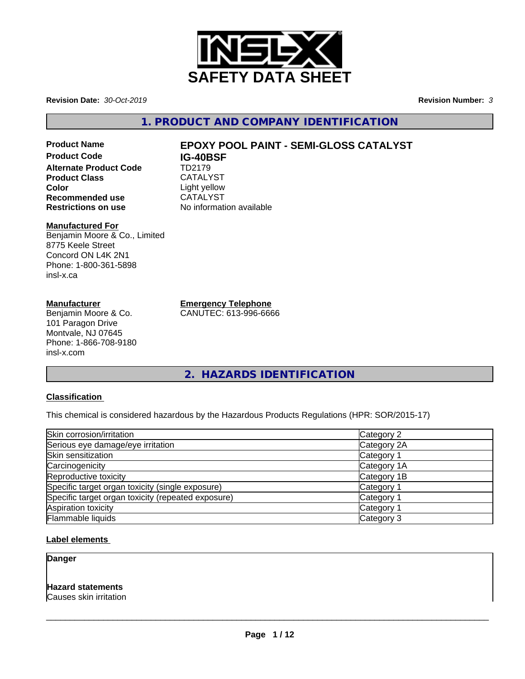

**Revision Date:** *30-Oct-2019* **Revision Number:** *3*

**1. PRODUCT AND COMPANY IDENTIFICATION**

**Product Code IG-40BSF Alternate Product Code** TD2179 Product Class CATALYST **Color**<br> **Recommended use**<br>
CATALYST **Recommended use**<br>Restrictions on use

# **Product Name EPOXY POOL PAINT - SEMI-GLOSS CATALYST**

**No information available** 

# **Manufactured For**

Benjamin Moore & Co., Limited 8775 Keele Street Concord ON L4K 2N1 Phone: 1-800-361-5898 insl-x.ca

# **Manufacturer**

Benjamin Moore & Co. 101 Paragon Drive Montvale, NJ 07645 Phone: 1-866-708-9180 insl-x.com

**Emergency Telephone** CANUTEC: 613-996-6666

**2. HAZARDS IDENTIFICATION**

# **Classification**

This chemical is considered hazardous by the Hazardous Products Regulations (HPR: SOR/2015-17)

| Skin corrosion/irritation                          | Category 2            |
|----------------------------------------------------|-----------------------|
| Serious eye damage/eye irritation                  | Category 2A           |
| Skin sensitization                                 | Category 1            |
| Carcinogenicity                                    | Category 1A           |
| Reproductive toxicity                              | Category 1B           |
| Specific target organ toxicity (single exposure)   | Category 1            |
| Specific target organ toxicity (repeated exposure) | Category <sup>2</sup> |
| Aspiration toxicity                                | Category <sup>2</sup> |
| Flammable liquids                                  | Category 3            |

# **Label elements**

**Danger**

# **Hazard statements**

Causes skin irritation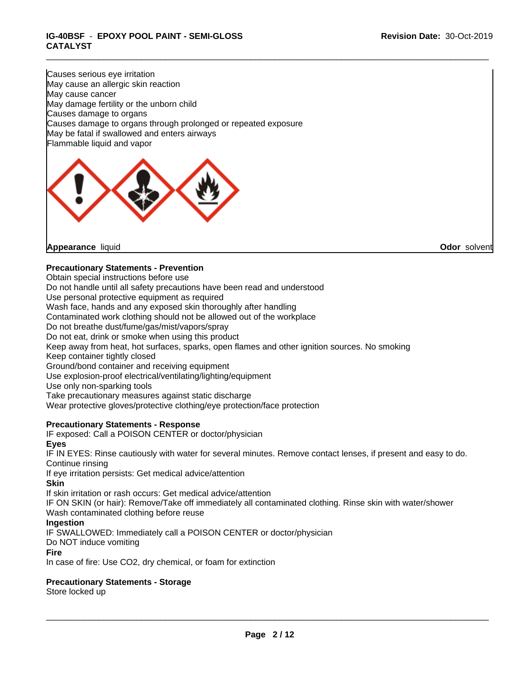\_\_\_\_\_\_\_\_\_\_\_\_\_\_\_\_\_\_\_\_\_\_\_\_\_\_\_\_\_\_\_\_\_\_\_\_\_\_\_\_\_\_\_\_\_\_\_\_\_\_\_\_\_\_\_\_\_\_\_\_\_\_\_\_\_\_\_\_\_\_\_\_\_\_\_\_\_\_\_\_\_\_\_\_\_\_\_\_\_\_\_\_\_

# **IG-40BSF** - **EPOXY POOL PAINT - SEMI-GLOSS CATALYST**

Causes serious eye irritation May cause an allergic skin reaction May cause cancer May damage fertility or the unborn child Causes damage to organs Causes damage to organs through prolonged or repeated exposure May be fatal if swallowed and enters airways Flammable liquid and vapor



# **Precautionary Statements - Prevention**

Obtain special instructions before use

Do not handle until all safety precautions have been read and understood

Use personal protective equipment as required

Wash face, hands and any exposed skin thoroughly after handling

Contaminated work clothing should not be allowed out of the workplace

Do not breathe dust/fume/gas/mist/vapors/spray

Do not eat, drink or smoke when using this product

Keep away from heat, hot surfaces, sparks, open flames and other ignition sources. No smoking

Keep container tightly closed

Ground/bond container and receiving equipment

Use explosion-proof electrical/ventilating/lighting/equipment

Use only non-sparking tools

Take precautionary measures against static discharge

Wear protective gloves/protective clothing/eye protection/face protection

# **Precautionary Statements - Response**

IF exposed: Call a POISON CENTER or doctor/physician **Eyes**

IF IN EYES: Rinse cautiously with water for several minutes. Remove contact lenses, if present and easy to do. Continue rinsing

If eye irritation persists: Get medical advice/attention

## **Skin**

If skin irritation or rash occurs: Get medical advice/attention

IF ON SKIN (or hair): Remove/Take off immediately all contaminated clothing. Rinse skin with water/shower Wash contaminated clothing before reuse

## **Ingestion**

IF SWALLOWED: Immediately call a POISON CENTER or doctor/physician

Do NOT induce vomiting

# **Fire**

In case of fire: Use CO2, dry chemical, or foam for extinction

# **Precautionary Statements - Storage**

Store locked up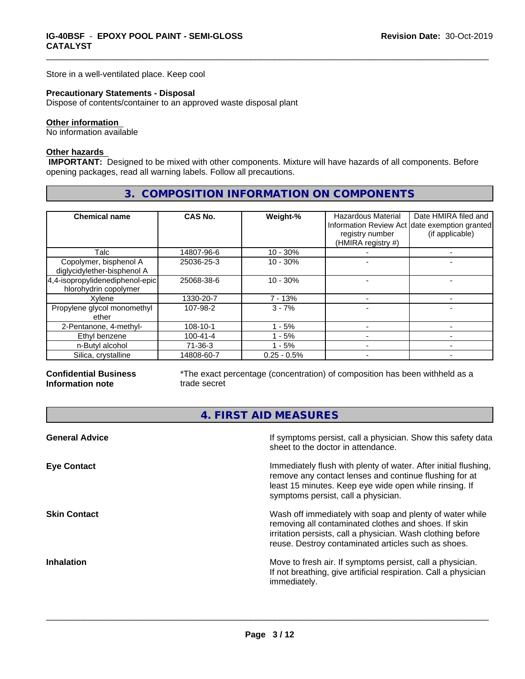Store in a well-ventilated place. Keep cool

#### **Precautionary Statements - Disposal**

Dispose of contents/container to an approved waste disposal plant

# **Other information**

No information available

#### **Other hazards**

 **IMPORTANT:** Designed to be mixed with other components. Mixture will have hazards of all components. Before opening packages, read all warning labels. Follow all precautions.

# **3. COMPOSITION INFORMATION ON COMPONENTS**

\_\_\_\_\_\_\_\_\_\_\_\_\_\_\_\_\_\_\_\_\_\_\_\_\_\_\_\_\_\_\_\_\_\_\_\_\_\_\_\_\_\_\_\_\_\_\_\_\_\_\_\_\_\_\_\_\_\_\_\_\_\_\_\_\_\_\_\_\_\_\_\_\_\_\_\_\_\_\_\_\_\_\_\_\_\_\_\_\_\_\_\_\_

| <b>Chemical name</b>                                        | CAS No.        | Weight-%      | Hazardous Material<br>registry number<br>(HMIRA registry #) | Date HMIRA filed and<br>Information Review Act date exemption granted<br>(if applicable) |
|-------------------------------------------------------------|----------------|---------------|-------------------------------------------------------------|------------------------------------------------------------------------------------------|
| Talc                                                        | 14807-96-6     | $10 - 30%$    |                                                             |                                                                                          |
| Copolymer, bisphenol A<br>diglycidylether-bisphenol A       | 25036-25-3     | $10 - 30%$    |                                                             |                                                                                          |
| $4,4$ -isopropylidenediphenol-epic<br>hlorohydrin copolymer | 25068-38-6     | $10 - 30%$    |                                                             |                                                                                          |
| Xylene                                                      | 1330-20-7      | $7 - 13%$     |                                                             |                                                                                          |
| Propylene glycol monomethyl<br>ether                        | 107-98-2       | $3 - 7%$      |                                                             |                                                                                          |
| 2-Pentanone, 4-methyl-                                      | 108-10-1       | $1 - 5%$      |                                                             |                                                                                          |
| Ethyl benzene                                               | $100 - 41 - 4$ | 1 - 5%        |                                                             |                                                                                          |
| n-Butyl alcohol                                             | $71-36-3$      | $1 - 5%$      |                                                             |                                                                                          |
| Silica, crystalline                                         | 14808-60-7     | $0.25 - 0.5%$ |                                                             |                                                                                          |

## **Confidential Business Information note**

\*The exact percentage (concentration) of composition has been withheld as a trade secret

# **4. FIRST AID MEASURES**

| <b>General Advice</b> | If symptoms persist, call a physician. Show this safety data<br>sheet to the doctor in attendance.                                                                                                                                     |
|-----------------------|----------------------------------------------------------------------------------------------------------------------------------------------------------------------------------------------------------------------------------------|
| <b>Eye Contact</b>    | Immediately flush with plenty of water. After initial flushing,<br>remove any contact lenses and continue flushing for at<br>least 15 minutes. Keep eye wide open while rinsing. If<br>symptoms persist, call a physician.             |
| <b>Skin Contact</b>   | Wash off immediately with soap and plenty of water while<br>removing all contaminated clothes and shoes. If skin<br>irritation persists, call a physician. Wash clothing before<br>reuse. Destroy contaminated articles such as shoes. |
| <b>Inhalation</b>     | Move to fresh air. If symptoms persist, call a physician.<br>If not breathing, give artificial respiration. Call a physician<br>immediately.                                                                                           |
|                       |                                                                                                                                                                                                                                        |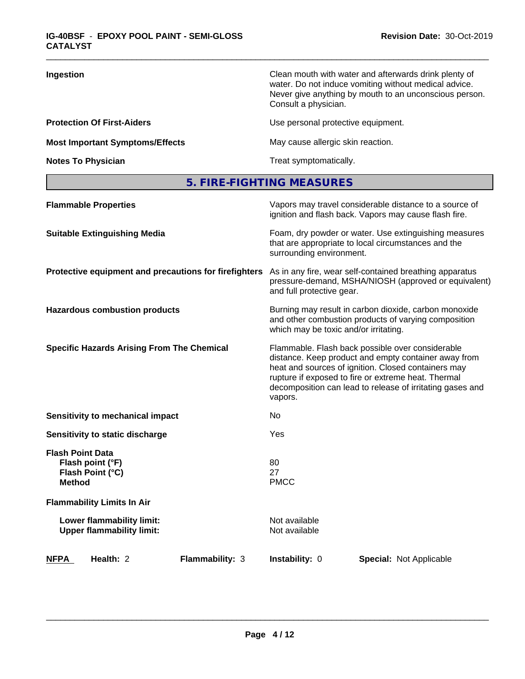| Ingestion                              | Clean mouth with water and afterwards drink plenty of<br>water. Do not induce vomiting without medical advice.<br>Never give anything by mouth to an unconscious person.<br>Consult a physician. |
|----------------------------------------|--------------------------------------------------------------------------------------------------------------------------------------------------------------------------------------------------|
| <b>Protection Of First-Aiders</b>      | Use personal protective equipment.                                                                                                                                                               |
| <b>Most Important Symptoms/Effects</b> | May cause allergic skin reaction.                                                                                                                                                                |
| <b>Notes To Physician</b>              | Treat symptomatically.                                                                                                                                                                           |

\_\_\_\_\_\_\_\_\_\_\_\_\_\_\_\_\_\_\_\_\_\_\_\_\_\_\_\_\_\_\_\_\_\_\_\_\_\_\_\_\_\_\_\_\_\_\_\_\_\_\_\_\_\_\_\_\_\_\_\_\_\_\_\_\_\_\_\_\_\_\_\_\_\_\_\_\_\_\_\_\_\_\_\_\_\_\_\_\_\_\_\_\_

**5. FIRE-FIGHTING MEASURES**

| <b>Flammable Properties</b>                                                      |                 |                                       | Vapors may travel considerable distance to a source of<br>ignition and flash back. Vapors may cause flash fire.                                                                                                                                                                     |  |
|----------------------------------------------------------------------------------|-----------------|---------------------------------------|-------------------------------------------------------------------------------------------------------------------------------------------------------------------------------------------------------------------------------------------------------------------------------------|--|
| <b>Suitable Extinguishing Media</b>                                              |                 | surrounding environment.              | Foam, dry powder or water. Use extinguishing measures<br>that are appropriate to local circumstances and the                                                                                                                                                                        |  |
| Protective equipment and precautions for firefighters                            |                 | and full protective gear.             | As in any fire, wear self-contained breathing apparatus<br>pressure-demand, MSHA/NIOSH (approved or equivalent)                                                                                                                                                                     |  |
| <b>Hazardous combustion products</b>                                             |                 | which may be toxic and/or irritating. | Burning may result in carbon dioxide, carbon monoxide<br>and other combustion products of varying composition                                                                                                                                                                       |  |
| <b>Specific Hazards Arising From The Chemical</b>                                |                 | vapors.                               | Flammable. Flash back possible over considerable<br>distance. Keep product and empty container away from<br>heat and sources of ignition. Closed containers may<br>rupture if exposed to fire or extreme heat. Thermal<br>decomposition can lead to release of irritating gases and |  |
| <b>Sensitivity to mechanical impact</b>                                          |                 | No                                    |                                                                                                                                                                                                                                                                                     |  |
| Sensitivity to static discharge                                                  |                 | Yes                                   |                                                                                                                                                                                                                                                                                     |  |
| <b>Flash Point Data</b><br>Flash point (°F)<br>Flash Point (°C)<br><b>Method</b> |                 | 80<br>27<br><b>PMCC</b>               |                                                                                                                                                                                                                                                                                     |  |
| <b>Flammability Limits In Air</b>                                                |                 |                                       |                                                                                                                                                                                                                                                                                     |  |
| Lower flammability limit:<br><b>Upper flammability limit:</b>                    |                 | Not available<br>Not available        |                                                                                                                                                                                                                                                                                     |  |
| Health: 2<br><b>NFPA</b>                                                         | Flammability: 3 | Instability: 0                        | <b>Special: Not Applicable</b>                                                                                                                                                                                                                                                      |  |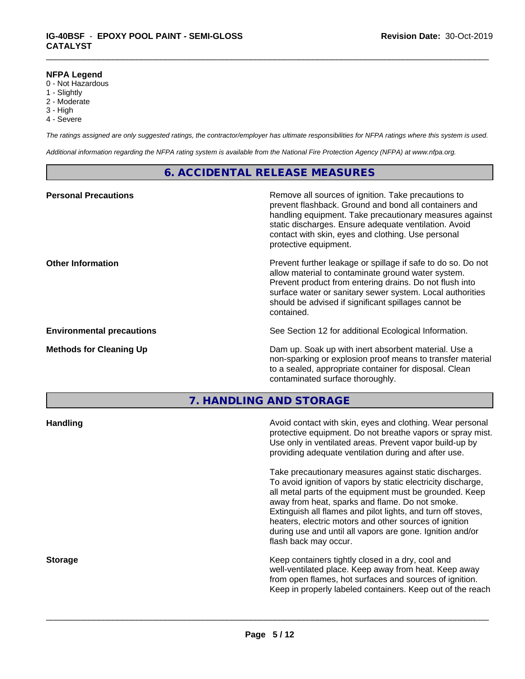#### **NFPA Legend**

- 0 Not Hazardous
- 1 Slightly
- 2 Moderate
- 3 High
- 4 Severe

*The ratings assigned are only suggested ratings, the contractor/employer has ultimate responsibilities for NFPA ratings where this system is used.*

\_\_\_\_\_\_\_\_\_\_\_\_\_\_\_\_\_\_\_\_\_\_\_\_\_\_\_\_\_\_\_\_\_\_\_\_\_\_\_\_\_\_\_\_\_\_\_\_\_\_\_\_\_\_\_\_\_\_\_\_\_\_\_\_\_\_\_\_\_\_\_\_\_\_\_\_\_\_\_\_\_\_\_\_\_\_\_\_\_\_\_\_\_

*Additional information regarding the NFPA rating system is available from the National Fire Protection Agency (NFPA) at www.nfpa.org.*

# **6. ACCIDENTAL RELEASE MEASURES**

| <b>Personal Precautions</b>      | Remove all sources of ignition. Take precautions to<br>prevent flashback. Ground and bond all containers and<br>handling equipment. Take precautionary measures against<br>static discharges. Ensure adequate ventilation. Avoid<br>contact with skin, eyes and clothing. Use personal<br>protective equipment.  |
|----------------------------------|------------------------------------------------------------------------------------------------------------------------------------------------------------------------------------------------------------------------------------------------------------------------------------------------------------------|
| <b>Other Information</b>         | Prevent further leakage or spillage if safe to do so. Do not<br>allow material to contaminate ground water system.<br>Prevent product from entering drains. Do not flush into<br>surface water or sanitary sewer system. Local authorities<br>should be advised if significant spillages cannot be<br>contained. |
| <b>Environmental precautions</b> | See Section 12 for additional Ecological Information.                                                                                                                                                                                                                                                            |
| <b>Methods for Cleaning Up</b>   | Dam up. Soak up with inert absorbent material. Use a<br>non-sparking or explosion proof means to transfer material<br>to a sealed, appropriate container for disposal. Clean<br>contaminated surface thoroughly.                                                                                                 |

**7. HANDLING AND STORAGE**

| <b>Handling</b> | Avoid contact with skin, eyes and clothing. Wear personal<br>protective equipment. Do not breathe vapors or spray mist.<br>Use only in ventilated areas. Prevent vapor build-up by<br>providing adequate ventilation during and after use.                                                                                                                                                                                                           |
|-----------------|------------------------------------------------------------------------------------------------------------------------------------------------------------------------------------------------------------------------------------------------------------------------------------------------------------------------------------------------------------------------------------------------------------------------------------------------------|
|                 | Take precautionary measures against static discharges.<br>To avoid ignition of vapors by static electricity discharge,<br>all metal parts of the equipment must be grounded. Keep<br>away from heat, sparks and flame. Do not smoke.<br>Extinguish all flames and pilot lights, and turn off stoves,<br>heaters, electric motors and other sources of ignition<br>during use and until all vapors are gone. Ignition and/or<br>flash back may occur. |
| <b>Storage</b>  | Keep containers tightly closed in a dry, cool and<br>well-ventilated place. Keep away from heat. Keep away<br>from open flames, hot surfaces and sources of ignition.<br>Keep in properly labeled containers. Keep out of the reach                                                                                                                                                                                                                  |
|                 |                                                                                                                                                                                                                                                                                                                                                                                                                                                      |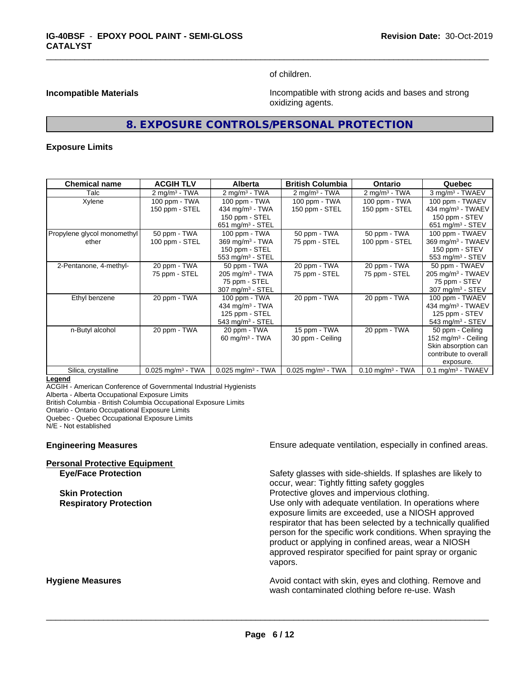of children.

\_\_\_\_\_\_\_\_\_\_\_\_\_\_\_\_\_\_\_\_\_\_\_\_\_\_\_\_\_\_\_\_\_\_\_\_\_\_\_\_\_\_\_\_\_\_\_\_\_\_\_\_\_\_\_\_\_\_\_\_\_\_\_\_\_\_\_\_\_\_\_\_\_\_\_\_\_\_\_\_\_\_\_\_\_\_\_\_\_\_\_\_\_

**Incompatible Materials Incompatible with strong acids and bases and strong** oxidizing agents.

# **8. EXPOSURE CONTROLS/PERSONAL PROTECTION**

#### **Exposure Limits**

| <b>Chemical name</b>        | <b>ACGIH TLV</b>                | <b>Alberta</b>                  | <b>British Columbia</b>         | <b>Ontario</b>                 | Quebec                          |
|-----------------------------|---------------------------------|---------------------------------|---------------------------------|--------------------------------|---------------------------------|
| Talc                        | $2 \text{mq/m}^3$ - TWA         | $2 \text{ mg/m}^3$ - TWA        | $2 \text{ mg/m}^3$ - TWA        | $2 \text{mq/m}^3$ - TWA        | 3 mg/m <sup>3</sup> - TWAEV     |
| Xylene                      | 100 ppm - TWA                   | 100 ppm - TWA                   | 100 ppm - TWA                   | 100 ppm - TWA                  | 100 ppm - TWAEV                 |
|                             | 150 ppm - STEL                  | 434 mg/m <sup>3</sup> - TWA     | 150 ppm - STEL                  | 150 ppm - STEL                 | 434 mg/m <sup>3</sup> - TWAEV   |
|                             |                                 | 150 ppm - STEL                  |                                 |                                | 150 ppm - STEV                  |
|                             |                                 | $651$ mg/m <sup>3</sup> - STEL  |                                 |                                | $651 \text{ mg/m}^3$ - STEV     |
| Propylene glycol monomethyl | 50 ppm - TWA                    | 100 ppm - TWA                   | 50 ppm - TWA                    | 50 ppm - TWA                   | 100 ppm - TWAEV                 |
| ether                       | 100 ppm - STEL                  | $369$ mg/m <sup>3</sup> - TWA   | 75 ppm - STEL                   | 100 ppm - STEL                 | 369 mg/m <sup>3</sup> - TWAEV   |
|                             |                                 | 150 ppm - STEL                  |                                 |                                | 150 ppm - STEV                  |
|                             |                                 | 553 mg/m <sup>3</sup> - STEL    |                                 |                                | 553 mg/m <sup>3</sup> - STEV    |
| 2-Pentanone, 4-methyl-      | 20 ppm - TWA                    | 50 ppm - TWA                    | 20 ppm - TWA                    | 20 ppm - TWA                   | 50 ppm - TWAEV                  |
|                             | 75 ppm - STEL                   | $205 \text{ mg/m}^3$ - TWA      | 75 ppm - STEL                   | 75 ppm - STEL                  | 205 mg/m <sup>3</sup> - TWAEV   |
|                             |                                 | 75 ppm - STEL                   |                                 |                                | 75 ppm - STEV                   |
|                             |                                 | 307 mg/m <sup>3</sup> - STEL    |                                 |                                | $307 \text{ mg/m}^3$ - STEV     |
| Ethyl benzene               | 20 ppm - TWA                    | 100 ppm - TWA                   | 20 ppm - TWA                    | 20 ppm - TWA                   | 100 ppm - TWAEV                 |
|                             |                                 | 434 mg/m <sup>3</sup> - TWA     |                                 |                                | 434 mg/m <sup>3</sup> - TWAEV   |
|                             |                                 | 125 ppm - STEL                  |                                 |                                | 125 ppm - STEV                  |
|                             |                                 | $543$ mg/m <sup>3</sup> - STEL  |                                 |                                | $543$ mg/m <sup>3</sup> - STEV  |
| n-Butyl alcohol             | 20 ppm - TWA                    | 20 ppm - TWA                    | 15 ppm - TWA                    | 20 ppm - TWA                   | 50 ppm - Ceiling                |
|                             |                                 | 60 mg/m $3$ - TWA               | 30 ppm - Ceiling                |                                | 152 mg/m <sup>3</sup> - Ceiling |
|                             |                                 |                                 |                                 |                                | Skin absorption can             |
|                             |                                 |                                 |                                 |                                | contribute to overall           |
|                             |                                 |                                 |                                 |                                | exposure.                       |
| Silica, crystalline         | $0.025$ mg/m <sup>3</sup> - TWA | $0.025$ mg/m <sup>3</sup> - TWA | $0.025$ mg/m <sup>3</sup> - TWA | $0.10$ mg/m <sup>3</sup> - TWA | $0.1$ mg/m <sup>3</sup> - TWAEV |

#### **Legend**

ACGIH - American Conference of Governmental Industrial Hygienists

Alberta - Alberta Occupational Exposure Limits

British Columbia - British Columbia Occupational Exposure Limits

Ontario - Ontario Occupational Exposure Limits

Quebec - Quebec Occupational Exposure Limits

N/E - Not established

#### **Personal Protective Equipment**

**Engineering Measures Ensure** Ensure adequate ventilation, especially in confined areas.

**Eye/Face Protection** Safety glasses with side-shields. If splashes are likely to occur, wear: Tightly fitting safety goggles **Skin Protection Protection Protective gloves and impervious clothing. Respiratory Protection Number 1** (Use only with adequate ventilation. In operations where exposure limits are exceeded, use a NIOSH approved respirator that has been selected by a technically qualified person for the specific work conditions. When spraying the product or applying in confined areas, wear a NIOSH approved respirator specified for paint spray or organic vapors.

**Hygiene Measures Avoid contact with skin, eyes and clothing. Remove and Hygiene Measures** and clothing. Remove and wash contaminated clothing before re-use. Wash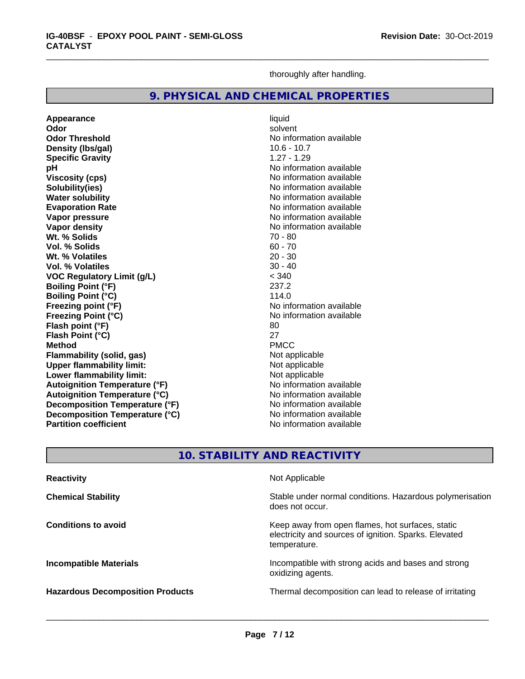thoroughly after handling.

\_\_\_\_\_\_\_\_\_\_\_\_\_\_\_\_\_\_\_\_\_\_\_\_\_\_\_\_\_\_\_\_\_\_\_\_\_\_\_\_\_\_\_\_\_\_\_\_\_\_\_\_\_\_\_\_\_\_\_\_\_\_\_\_\_\_\_\_\_\_\_\_\_\_\_\_\_\_\_\_\_\_\_\_\_\_\_\_\_\_\_\_\_

# **9. PHYSICAL AND CHEMICAL PROPERTIES**

**Appearance** liquid **Odor** solvent **Odor Threshold No information available** No information available **Density (Ibs/gal)** 10.6 - 10.7<br> **Specific Gravity** 1.27 - 1.29 **Specific Gravity**<br>pH **Viscosity (cps)** No information available **Solubility(ies)**<br> **No information available**<br> **Water solubility**<br> **Water solubility Water solubility**<br> **Evaporation Rate**<br> **Evaporation Rate**<br> **Evaporation Rate Vapor pressure**<br> **Vapor density**<br> **Vapor density**<br> **Vapor density**<br> **Vapor density** Wt. % Solids **Vol. % Solids** 60 - 70 **Wt. % Volatiles** 20 - 30 **Vol. % Volatiles VOC Regulatory Limit (g/L)**  $\leq$  340<br> **Roiling Point (°F)** 237.2 **Boiling Point (°F) Boiling Point (°C)** 114.0 **Freezing point (°F)**<br> **Freezing Point (°C)**<br> **Freezing Point (°C)**<br> **No information available Freezing Point (°C) Flash point (°F)** 80 **Flash Point (°C)** 27<br> **Method** PMCC **Method** PMCC **Flammability (solid, gas)** Not applicable **Upper flammability limit:**<br> **Lower flammability limit:** Not applicable Not applicable **Lower flammability limit: Autoignition Temperature (°F)** No information available **Autoignition Temperature (°C)**<br> **Decomposition Temperature (°F)** Moinformation available **Decomposition Temperature (°F) Decomposition Temperature (°C)** No information available<br> **Partition coefficient No information available Partition coefficient** 

**No information available Evaporation Rate** No information available **No information available**<br>**70 - 80** 

# **10. STABILITY AND REACTIVITY**

| <b>Reactivity</b>                       | Not Applicable                                                                                                            |
|-----------------------------------------|---------------------------------------------------------------------------------------------------------------------------|
| <b>Chemical Stability</b>               | Stable under normal conditions. Hazardous polymerisation<br>does not occur.                                               |
| <b>Conditions to avoid</b>              | Keep away from open flames, hot surfaces, static<br>electricity and sources of ignition. Sparks. Elevated<br>temperature. |
| <b>Incompatible Materials</b>           | Incompatible with strong acids and bases and strong<br>oxidizing agents.                                                  |
| <b>Hazardous Decomposition Products</b> | Thermal decomposition can lead to release of irritating                                                                   |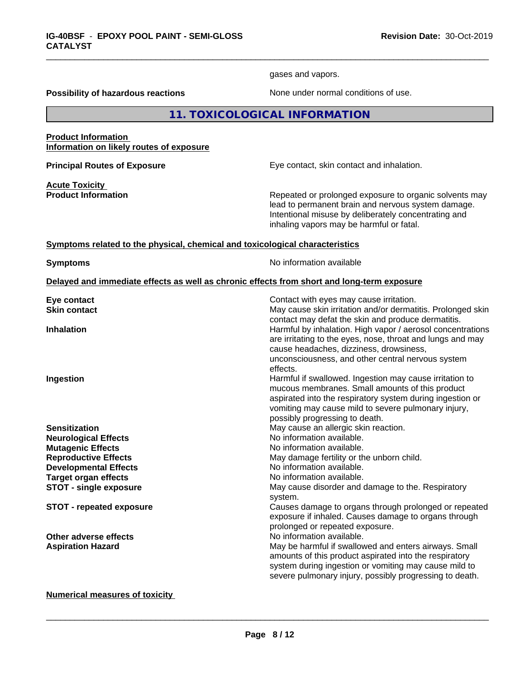gases and vapors.

\_\_\_\_\_\_\_\_\_\_\_\_\_\_\_\_\_\_\_\_\_\_\_\_\_\_\_\_\_\_\_\_\_\_\_\_\_\_\_\_\_\_\_\_\_\_\_\_\_\_\_\_\_\_\_\_\_\_\_\_\_\_\_\_\_\_\_\_\_\_\_\_\_\_\_\_\_\_\_\_\_\_\_\_\_\_\_\_\_\_\_\_\_

**Possibility of hazardous reactions** None under normal conditions of use.

**11. TOXICOLOGICAL INFORMATION**

**Product Information Information on likely routes of exposure**

**Principal Routes of Exposure Exposure** Eye contact, skin contact and inhalation.

**Acute Toxicity** 

**Product Information Repeated or prolonged exposure to organic solvents may** lead to permanent brain and nervous system damage. Intentional misuse by deliberately concentrating and inhaling vapors may be harmful or fatal.

#### **<u>Symptoms related to the physical, chemical and toxicological characteristics</u>**

**Symptoms** No information available

#### **Delayed and immediate effects as well as chronic effects from short and long-term exposure**

| Contact with eyes may cause irritation.                                                                                  |
|--------------------------------------------------------------------------------------------------------------------------|
| May cause skin irritation and/or dermatitis. Prolonged skin<br>contact may defat the skin and produce dermatitis.        |
| Harmful by inhalation. High vapor / aerosol concentrations<br>are irritating to the eyes, nose, throat and lungs and may |
| cause headaches, dizziness, drowsiness,                                                                                  |
| unconsciousness, and other central nervous system                                                                        |
| effects.                                                                                                                 |
| Harmful if swallowed. Ingestion may cause irritation to                                                                  |
| mucous membranes. Small amounts of this product                                                                          |
| aspirated into the respiratory system during ingestion or                                                                |
| vomiting may cause mild to severe pulmonary injury,                                                                      |
| possibly progressing to death.                                                                                           |
| May cause an allergic skin reaction.                                                                                     |
| No information available.                                                                                                |
| No information available.                                                                                                |
| May damage fertility or the unborn child.                                                                                |
| No information available.                                                                                                |
| No information available.                                                                                                |
| May cause disorder and damage to the. Respiratory                                                                        |
| system.                                                                                                                  |
| Causes damage to organs through prolonged or repeated                                                                    |
| exposure if inhaled. Causes damage to organs through                                                                     |
| prolonged or repeated exposure.                                                                                          |
| No information available.                                                                                                |
| May be harmful if swallowed and enters airways. Small                                                                    |
| amounts of this product aspirated into the respiratory                                                                   |
| system during ingestion or vomiting may cause mild to                                                                    |
| severe pulmonary injury, possibly progressing to death.                                                                  |
|                                                                                                                          |

#### **Numerical measures of toxicity**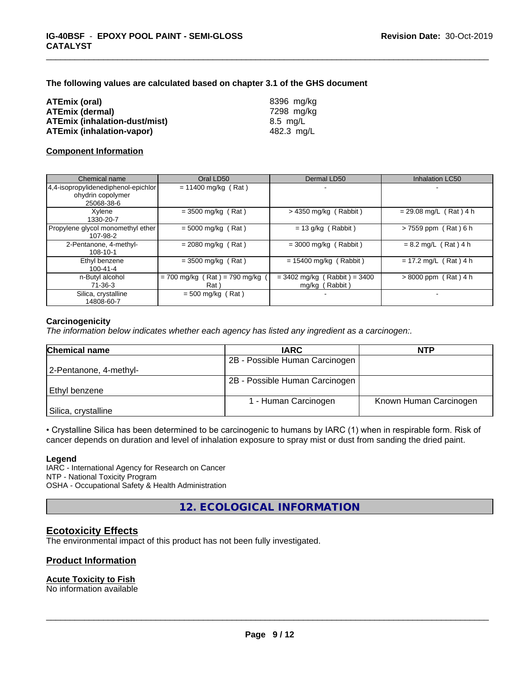**The following values are calculated based on chapter 3.1 of the GHS document**

| ATEmix (oral)          |                                      |
|------------------------|--------------------------------------|
| <b>ATEmix (dermal)</b> |                                      |
|                        | <b>ATEmix (inhalation-dust/mist)</b> |
|                        | <b>ATEmix (inhalation-vapor)</b>     |

**ATEmix (oral)** 8396 mg/kg **ATEmix (dermal)** 7298 mg/kg **ATEmix (inhalation-dust/mist)** 8.5 mg/L **ATEmix (inhalation-vapor)** 482.3 mg/L

\_\_\_\_\_\_\_\_\_\_\_\_\_\_\_\_\_\_\_\_\_\_\_\_\_\_\_\_\_\_\_\_\_\_\_\_\_\_\_\_\_\_\_\_\_\_\_\_\_\_\_\_\_\_\_\_\_\_\_\_\_\_\_\_\_\_\_\_\_\_\_\_\_\_\_\_\_\_\_\_\_\_\_\_\_\_\_\_\_\_\_\_\_

# **Component Information**

| Chemical name                                 | Oral LD50                                | Dermal LD50                                      | Inhalation LC50          |
|-----------------------------------------------|------------------------------------------|--------------------------------------------------|--------------------------|
| 4,4-isopropylidenediphenol-epichlor           | $= 11400$ mg/kg (Rat)                    |                                                  | $\blacksquare$           |
| ohydrin copolymer<br>25068-38-6               |                                          |                                                  |                          |
| Xylene<br>1330-20-7                           | $=$ 3500 mg/kg (Rat)                     | $>$ 4350 mg/kg (Rabbit)                          | $= 29.08$ mg/L (Rat) 4 h |
| Propylene glycol monomethyl ether<br>107-98-2 | $= 5000$ mg/kg (Rat)                     | $= 13$ g/kg (Rabbit)                             | $> 7559$ ppm (Rat) 6 h   |
| 2-Pentanone, 4-methyl-<br>108-10-1            | $= 2080$ mg/kg (Rat)                     | $=$ 3000 mg/kg (Rabbit)                          | $= 8.2$ mg/L (Rat) 4 h   |
| Ethyl benzene<br>$100 - 41 - 4$               | $= 3500$ mg/kg (Rat)                     | $= 15400$ mg/kg (Rabbit)                         | $= 17.2$ mg/L (Rat) 4 h  |
| n-Butyl alcohol<br>71-36-3                    | $= 700$ mg/kg (Rat) = 790 mg/kg<br>Rat ` | $= 3402$ mg/kg (Rabbit) = 3400<br>mg/kg (Rabbit) | $> 8000$ ppm (Rat) 4 h   |
| Silica, crystalline<br>14808-60-7             | $= 500$ mg/kg (Rat)                      |                                                  |                          |

# **Carcinogenicity**

*The information below indicateswhether each agency has listed any ingredient as a carcinogen:.*

| <b>Chemical name</b>   | <b>IARC</b>                    | <b>NTP</b>             |
|------------------------|--------------------------------|------------------------|
|                        | 2B - Possible Human Carcinogen |                        |
| 2-Pentanone, 4-methyl- |                                |                        |
|                        | 2B - Possible Human Carcinogen |                        |
| Ethyl benzene          |                                |                        |
|                        | 1 - Human Carcinogen           | Known Human Carcinogen |
| Silica, crystalline    |                                |                        |

• Crystalline Silica has been determined to be carcinogenic to humans by IARC (1) when in respirable form. Risk of cancer depends on duration and level of inhalation exposure to spray mist or dust from sanding the dried paint.

## **Legend**

IARC - International Agency for Research on Cancer NTP - National Toxicity Program OSHA - Occupational Safety & Health Administration

**12. ECOLOGICAL INFORMATION**

# **Ecotoxicity Effects**

The environmental impact of this product has not been fully investigated.

# **Product Information**

# **Acute Toxicity to Fish**

No information available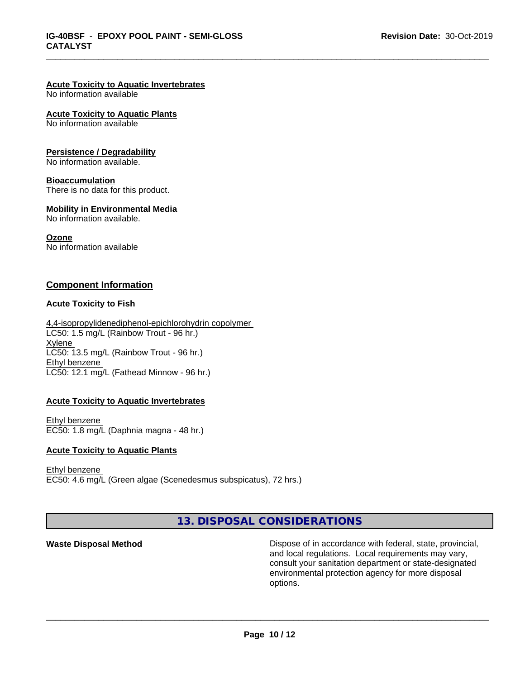\_\_\_\_\_\_\_\_\_\_\_\_\_\_\_\_\_\_\_\_\_\_\_\_\_\_\_\_\_\_\_\_\_\_\_\_\_\_\_\_\_\_\_\_\_\_\_\_\_\_\_\_\_\_\_\_\_\_\_\_\_\_\_\_\_\_\_\_\_\_\_\_\_\_\_\_\_\_\_\_\_\_\_\_\_\_\_\_\_\_\_\_\_

## **Acute Toxicity to Aquatic Invertebrates**

No information available

#### **Acute Toxicity to Aquatic Plants**

No information available

#### **Persistence / Degradability**

No information available.

#### **Bioaccumulation**

There is no data for this product.

#### **Mobility in Environmental Media**

No information available.

#### **Ozone**

No information available

# **Component Information**

## **Acute Toxicity to Fish**

4,4-isopropylidenediphenol-epichlorohydrin copolymer LC50: 1.5 mg/L (Rainbow Trout - 96 hr.) Xylene LC50: 13.5 mg/L (Rainbow Trout - 96 hr.) Ethyl benzene LC50: 12.1 mg/L (Fathead Minnow - 96 hr.)

## **Acute Toxicity to Aquatic Invertebrates**

Ethyl benzene EC50: 1.8 mg/L (Daphnia magna - 48 hr.)

#### **Acute Toxicity to Aquatic Plants**

Ethyl benzene EC50: 4.6 mg/L (Green algae (Scenedesmus subspicatus), 72 hrs.)

**13. DISPOSAL CONSIDERATIONS**

**Waste Disposal Method Dispose of in accordance with federal, state, provincial,** and local regulations. Local requirements may vary, consult your sanitation department or state-designated environmental protection agency for more disposal options.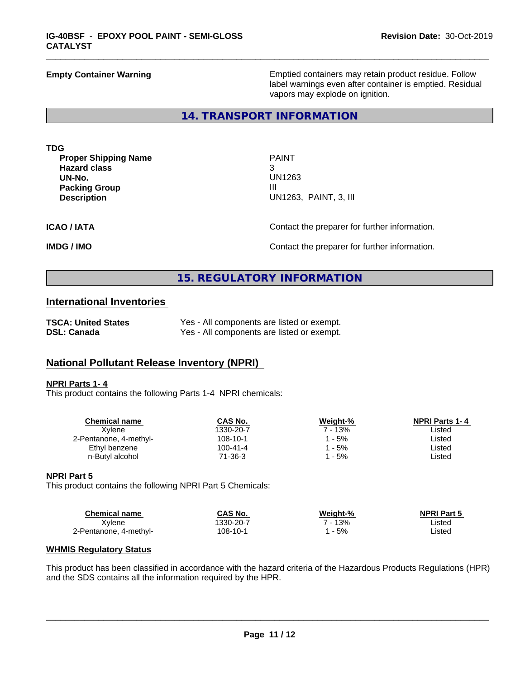**Empty Container Warning <b>Emptied** Containers may retain product residue. Follow label warnings even after container is emptied. Residual vapors may explode on ignition.

## **14. TRANSPORT INFORMATION**

**TDG**

**Proper Shipping Name** PAINT **Hazard class** 3 **UN-No.** UN1263 **Packing Group III**<br>**Description III** 

**Description** UN1263, PAINT, 3, III

\_\_\_\_\_\_\_\_\_\_\_\_\_\_\_\_\_\_\_\_\_\_\_\_\_\_\_\_\_\_\_\_\_\_\_\_\_\_\_\_\_\_\_\_\_\_\_\_\_\_\_\_\_\_\_\_\_\_\_\_\_\_\_\_\_\_\_\_\_\_\_\_\_\_\_\_\_\_\_\_\_\_\_\_\_\_\_\_\_\_\_\_\_

**ICAO / IATA** Contact the preparer for further information.

**IMDG / IMO IMO Contact the preparer for further information.** 

# **15. REGULATORY INFORMATION**

# **International Inventories**

| <b>TSCA: United States</b> | Yes - All components are listed or exempt. |
|----------------------------|--------------------------------------------|
| <b>DSL: Canada</b>         | Yes - All components are listed or exempt. |

# **National Pollutant Release Inventory (NPRI)**

#### **NPRI Parts 1- 4**

This product contains the following Parts 1-4 NPRI chemicals:

| <b>Chemical name</b>   | CAS No.   | Weight-% | <b>NPRI Parts 1-4</b> |
|------------------------|-----------|----------|-----------------------|
| Xvlene                 | 1330-20-7 | 7 - 13%  | ∟isted                |
| 2-Pentanone, 4-methyl- | 108-10-1  | - 5%     | Listed                |
| Ethyl benzene          | 100-41-4  | - 5%     | ∟isted                |
| n-Butyl alcohol        | 71-36-3   | - 5%     | ∟isted                |
|                        |           |          |                       |

# **NPRI Part 5**

This product contains the following NPRI Part 5 Chemicals:

| Chemical name          | CAS No.   | Weight-% | <b>NPRI Part 5</b> |
|------------------------|-----------|----------|--------------------|
| Xvlene                 | 1330-20-7 | 13%<br>- | ∟isted             |
| 2-Pentanone, 4-methyl- | 108-10-1  | 5%       | Listed             |

#### **WHMIS Regulatory Status**

This product has been classified in accordance with the hazard criteria of the Hazardous Products Regulations (HPR) and the SDS contains all the information required by the HPR.